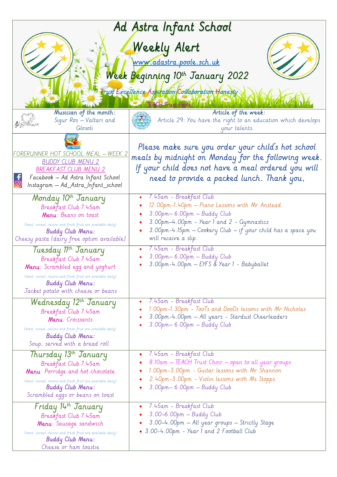| Ad Astra Infant School                                                                                                                                                                                                                                         |                                                                                                                                                                                                                                                                                                                    |
|----------------------------------------------------------------------------------------------------------------------------------------------------------------------------------------------------------------------------------------------------------------|--------------------------------------------------------------------------------------------------------------------------------------------------------------------------------------------------------------------------------------------------------------------------------------------------------------------|
|                                                                                                                                                                                                                                                                | Weekly Alert<br>www.adastra.poole.sch.uk<br>Week Beginning 10th January 2022<br>Trust Excellence Aspuration Collaboration Honesty                                                                                                                                                                                  |
| Musician of the month:<br>Sigur Ros - Valtari and<br>Glosoli                                                                                                                                                                                                   | Article of the week:<br>Article 29: You have the right to an education which develops<br>your talents.                                                                                                                                                                                                             |
| <u> FORERUNNER HOT SCHOOL MEAL – WEEK 2</u><br><b>BUDDY CLUB MENU 2</b><br><b>BREAKFAST CLUB MENU 2</b><br>Facebook - Ad Astra Infant School<br>Instagram — Ad_Astra_Infant_school                                                                             | Please make sure you order your child's hot school<br>meals by midnight on Monday for the following week.<br>If your child does not have a meal ordered you will<br>need to provide a packed lunch. Thank you,                                                                                                     |
| Monday 10th January<br>Breakfast Club 7:45am<br>Menu: Beans on toast<br>(toast, cereal, raisins and fresh fruit are available daily)<br><b>Buddy Club Menu:</b><br>Cheesy pasta (dairy free option available)<br>Tuesday 11th January<br>Breakfast Club 7:45am | 7.45am - Breakfast Club<br>12.00pm-1.40pm - Piano Lessons with Mr Anstead<br>3.00pm-6.00pm - Buddy Club<br>3.00pm-4.00pm - Year 1 and 2 - Gymnastics<br>3.00pm-4.15pm - Cookery Club - if your child has a space you<br>will receive a slip.<br>7.45am - Breakfast Club<br>$\bullet$<br>3.00pm-6.00pm - Buddy Club |
| Menu: Scrambled egg and yoghurt<br>(toast, cereal, raisins and fresh fruit are available daily)<br><b>Buddy Club Menu:</b><br>Jacket potato with cheese or beans<br>Wednesday 12 <sup>th</sup> January                                                         | 3.00pm-4.00pm – EYFS & Year 1 - Babyballet<br>7.45am - Breakfast Club<br>$\bullet$                                                                                                                                                                                                                                 |
| Breakfast Club 7:45am<br>Menu: Croissants<br>(toast, cereal, raisins and fresh fruit are available daily)<br><b>Buddy Club Menu:</b><br>Soup, served with a bread roll                                                                                         | 1.00pm-1.30pm - TooTs and DooDs lessons with Mr Nicholas<br>3.00pm-4.00pm - All years - Stardust Cheerleaders<br>3.00pm - 6.00pm - Buddy Club                                                                                                                                                                      |
| Thursday 13 <sup>th</sup> January<br>Breakfast Club 7:45am<br>Menu: Porridge and hot chocolate<br>(toast, cereal, raisins and fresh fruit are available daily)<br><b>Buddy Club Menu:</b><br>Scrambled eggs or beans on toast                                  | 7.45am - Breakfast Club<br>$\bullet$<br>8.10am – TEACH Trust Choir – open to all year groups<br>1.00pm-3.00pm - Guitar lessons with Mr Shannon<br>2.40pm-3.00pm - Violin lessons with Ms Stopps<br>3.00pm-6.00pm - Buddy Club                                                                                      |
| Friday 14th January<br>Breakfast Club 7:45am<br>Menu: Sausage sandwich<br>(toast, cereal, raisins and fresh fruit are available daily)<br><b>Buddy Club Menu:</b><br>Cheese or ham toastie                                                                     | 7.45am - Breakfast Club<br>3.00-6.00pm - Buddy Club<br>3.00–4.00pm – All year groups – Strictly Stage<br>• 3.00-4.00pm - Year 1 and 2 Football Club                                                                                                                                                                |